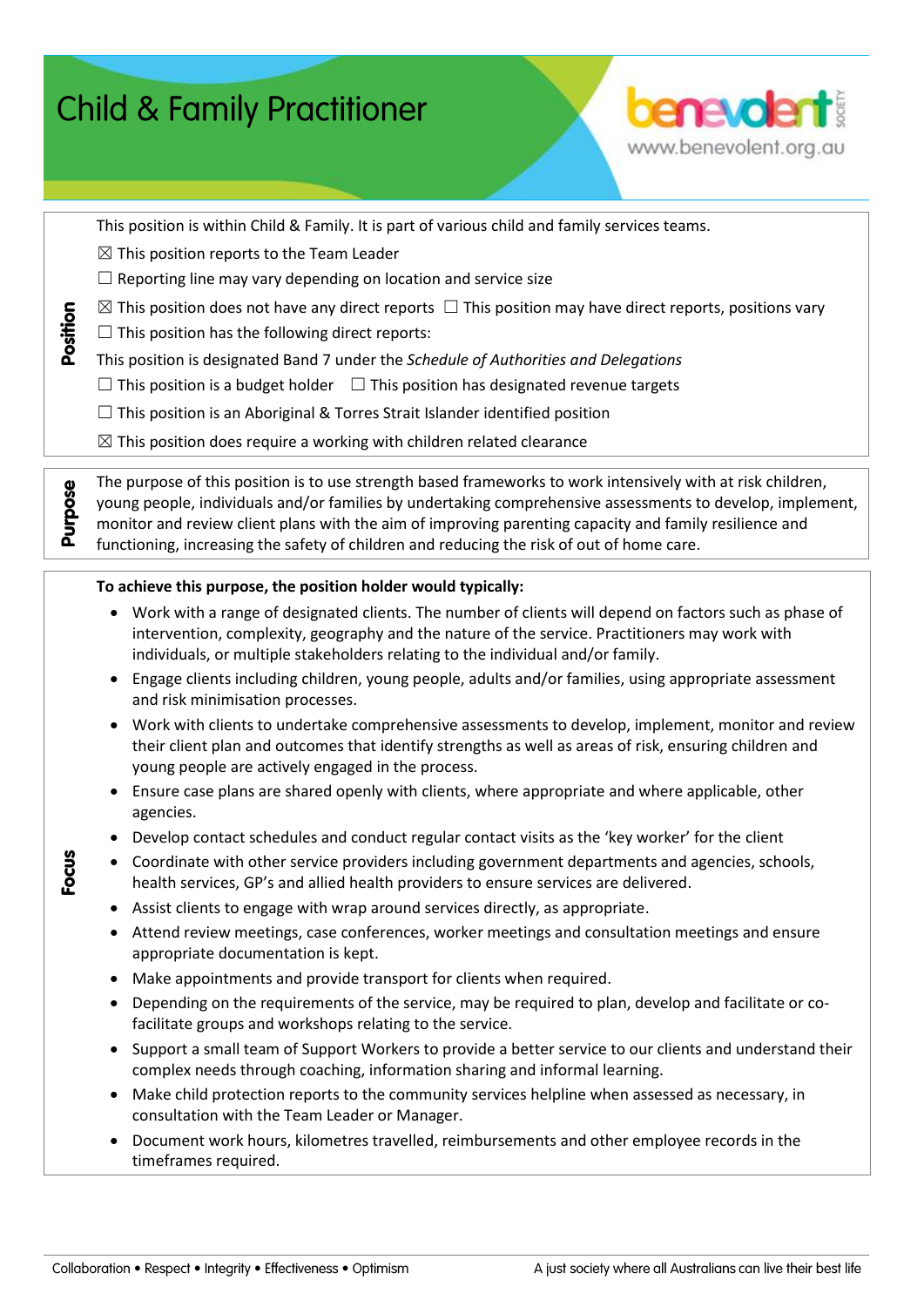| <b>benevolent:</b><br><b>Child &amp; Family Practitioner</b> |                                                                                                                                                                                                                                                                                                                                                                                                                                 |  |  |  |  |  |
|--------------------------------------------------------------|---------------------------------------------------------------------------------------------------------------------------------------------------------------------------------------------------------------------------------------------------------------------------------------------------------------------------------------------------------------------------------------------------------------------------------|--|--|--|--|--|
|                                                              | www.benevolent.org.au                                                                                                                                                                                                                                                                                                                                                                                                           |  |  |  |  |  |
|                                                              |                                                                                                                                                                                                                                                                                                                                                                                                                                 |  |  |  |  |  |
| Position                                                     | This position is within Child & Family. It is part of various child and family services teams.<br>$\boxtimes$ This position reports to the Team Leader                                                                                                                                                                                                                                                                          |  |  |  |  |  |
|                                                              | $\Box$ Reporting line may vary depending on location and service size                                                                                                                                                                                                                                                                                                                                                           |  |  |  |  |  |
|                                                              | $\boxtimes$ This position does not have any direct reports $\Box$ This position may have direct reports, positions vary                                                                                                                                                                                                                                                                                                         |  |  |  |  |  |
|                                                              | $\Box$ This position has the following direct reports:                                                                                                                                                                                                                                                                                                                                                                          |  |  |  |  |  |
|                                                              | This position is designated Band 7 under the Schedule of Authorities and Delegations                                                                                                                                                                                                                                                                                                                                            |  |  |  |  |  |
|                                                              | $\Box$ This position is a budget holder $\Box$ This position has designated revenue targets                                                                                                                                                                                                                                                                                                                                     |  |  |  |  |  |
|                                                              | $\Box$ This position is an Aboriginal & Torres Strait Islander identified position                                                                                                                                                                                                                                                                                                                                              |  |  |  |  |  |
|                                                              | $\boxtimes$ This position does require a working with children related clearance                                                                                                                                                                                                                                                                                                                                                |  |  |  |  |  |
| Purpose                                                      | The purpose of this position is to use strength based frameworks to work intensively with at risk children,<br>young people, individuals and/or families by undertaking comprehensive assessments to develop, implement,<br>monitor and review client plans with the aim of improving parenting capacity and family resilience and<br>functioning, increasing the safety of children and reducing the risk of out of home care. |  |  |  |  |  |
|                                                              | To achieve this purpose, the position holder would typically:                                                                                                                                                                                                                                                                                                                                                                   |  |  |  |  |  |
|                                                              | Work with a range of designated clients. The number of clients will depend on factors such as phase of<br>$\bullet$                                                                                                                                                                                                                                                                                                             |  |  |  |  |  |
|                                                              | intervention, complexity, geography and the nature of the service. Practitioners may work with<br>individuals, or multiple stakeholders relating to the individual and/or family.                                                                                                                                                                                                                                               |  |  |  |  |  |
|                                                              | Engage clients including children, young people, adults and/or families, using appropriate assessment<br>٠                                                                                                                                                                                                                                                                                                                      |  |  |  |  |  |
|                                                              | and risk minimisation processes.                                                                                                                                                                                                                                                                                                                                                                                                |  |  |  |  |  |
|                                                              | Work with clients to undertake comprehensive assessments to develop, implement, monitor and review<br>$\bullet$<br>their client plan and outcomes that identify strengths as well as areas of risk, ensuring children and<br>young people are actively engaged in the process.                                                                                                                                                  |  |  |  |  |  |
|                                                              | Ensure case plans are shared openly with clients, where appropriate and where applicable, other<br>agencies.                                                                                                                                                                                                                                                                                                                    |  |  |  |  |  |
|                                                              | Develop contact schedules and conduct regular contact visits as the 'key worker' for the client<br>$\bullet$                                                                                                                                                                                                                                                                                                                    |  |  |  |  |  |
| Focus                                                        | Coordinate with other service providers including government departments and agencies, schools,<br>$\bullet$<br>health services, GP's and allied health providers to ensure services are delivered.                                                                                                                                                                                                                             |  |  |  |  |  |
|                                                              | Assist clients to engage with wrap around services directly, as appropriate.<br>٠                                                                                                                                                                                                                                                                                                                                               |  |  |  |  |  |
|                                                              | Attend review meetings, case conferences, worker meetings and consultation meetings and ensure<br>appropriate documentation is kept.                                                                                                                                                                                                                                                                                            |  |  |  |  |  |
|                                                              | Make appointments and provide transport for clients when required.<br>٠                                                                                                                                                                                                                                                                                                                                                         |  |  |  |  |  |
|                                                              | Depending on the requirements of the service, may be required to plan, develop and facilitate or co-<br>٠<br>facilitate groups and workshops relating to the service.                                                                                                                                                                                                                                                           |  |  |  |  |  |
|                                                              | Support a small team of Support Workers to provide a better service to our clients and understand their<br>٠<br>complex needs through coaching, information sharing and informal learning.                                                                                                                                                                                                                                      |  |  |  |  |  |
|                                                              | Make child protection reports to the community services helpline when assessed as necessary, in<br>٠<br>consultation with the Team Leader or Manager.                                                                                                                                                                                                                                                                           |  |  |  |  |  |
|                                                              | Document work hours, kilometres travelled, reimbursements and other employee records in the<br>$\bullet$<br>timeframes required.                                                                                                                                                                                                                                                                                                |  |  |  |  |  |
|                                                              |                                                                                                                                                                                                                                                                                                                                                                                                                                 |  |  |  |  |  |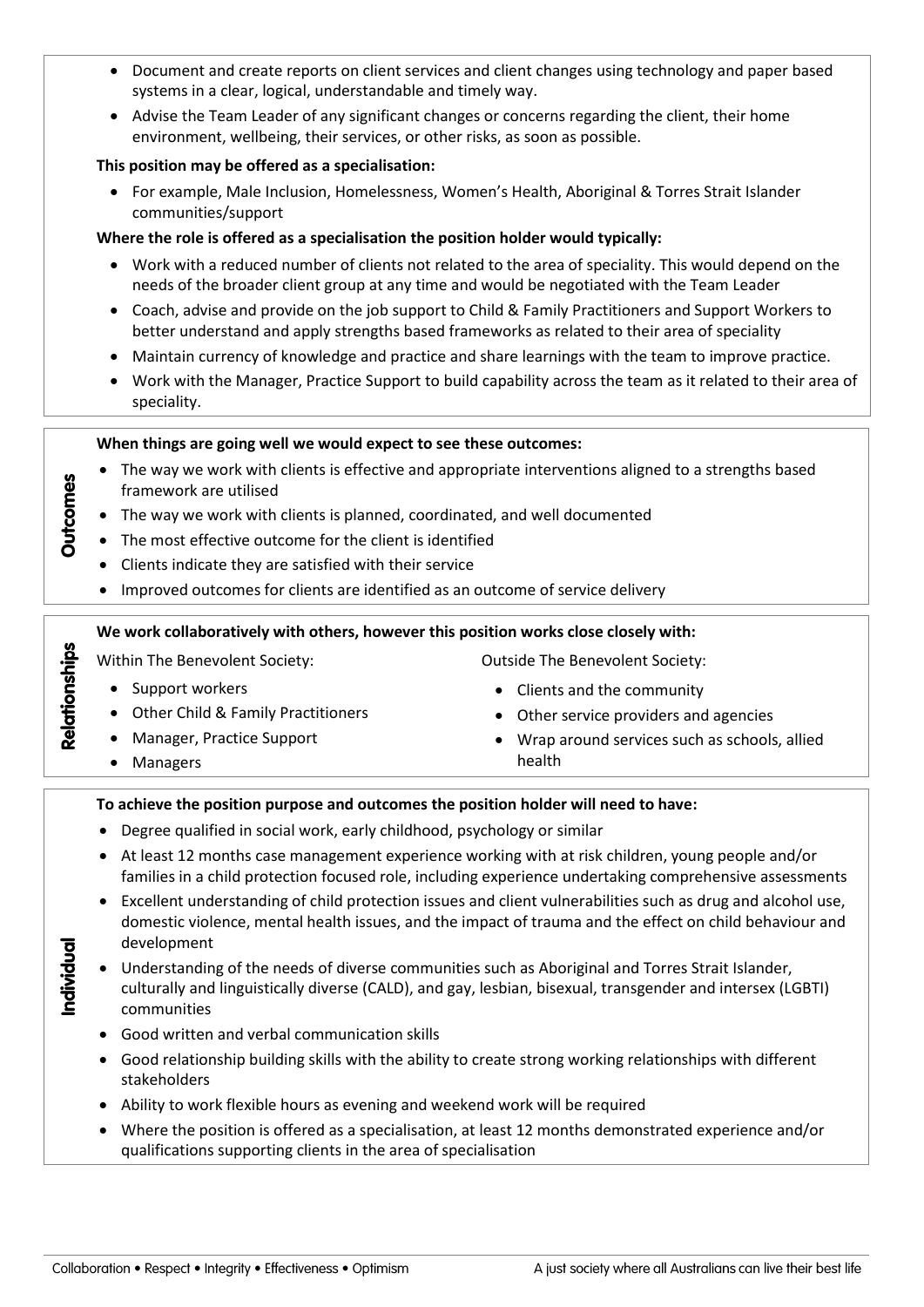- Document and create reports on client services and client changes using technology and paper based systems in a clear, logical, understandable and timely way.
- Advise the Team Leader of any significant changes or concerns regarding the client, their home environment, wellbeing, their services, or other risks, as soon as possible.

### **This position may be offered as a specialisation:**

 For example, Male Inclusion, Homelessness, Women's Health, Aboriginal & Torres Strait Islander communities/support

## **Where the role is offered as a specialisation the position holder would typically:**

- Work with a reduced number of clients not related to the area of speciality. This would depend on the needs of the broader client group at any time and would be negotiated with the Team Leader
- Coach, advise and provide on the job support to Child & Family Practitioners and Support Workers to better understand and apply strengths based frameworks as related to their area of speciality
- Maintain currency of knowledge and practice and share learnings with the team to improve practice.
- Work with the Manager, Practice Support to build capability across the team as it related to their area of speciality.

### **When things are going well we would expect to see these outcomes:**

- The way we work with clients is effective and appropriate interventions aligned to a strengths based framework are utilised
- The way we work with clients is planned, coordinated, and well documented
- The most effective outcome for the client is identified
- Clients indicate they are satisfied with their service
- Improved outcomes for clients are identified as an outcome of service delivery

### **We work collaboratively with others, however this position works close closely with:**

Within The Benevolent Society: Case of Cutside The Benevolent Society:

# • Support workers

- Other Child & Family Practitioners
- Manager, Practice Support
- Managers

**Outcomes** 

Relationships

Individual

- - Clients and the community
	- Other service providers and agencies
	- Wrap around services such as schools, allied health

### **To achieve the position purpose and outcomes the position holder will need to have:**

- Degree qualified in social work, early childhood, psychology or similar
- At least 12 months case management experience working with at risk children, young people and/or families in a child protection focused role, including experience undertaking comprehensive assessments
- Excellent understanding of child protection issues and client vulnerabilities such as drug and alcohol use, domestic violence, mental health issues, and the impact of trauma and the effect on child behaviour and development
- Understanding of the needs of diverse communities such as Aboriginal and Torres Strait Islander, culturally and linguistically diverse (CALD), and gay, lesbian, bisexual, transgender and intersex (LGBTI) communities
	- Good written and verbal communication skills
	- Good relationship building skills with the ability to create strong working relationships with different stakeholders
	- Ability to work flexible hours as evening and weekend work will be required
	- Where the position is offered as a specialisation, at least 12 months demonstrated experience and/or qualifications supporting clients in the area of specialisation